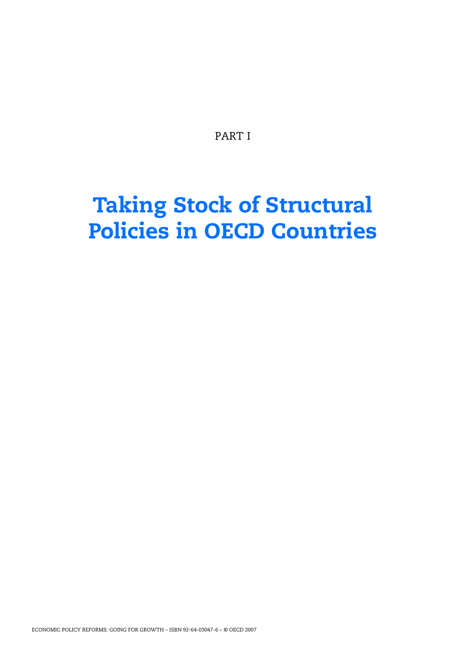PART I

# **Taking Stock of Structural Policies in OECD Countries**

ECONOMIC POLICY REFORMS: GOING FOR GROWTH – ISBN 92-64-03047-6 – © OECD 2007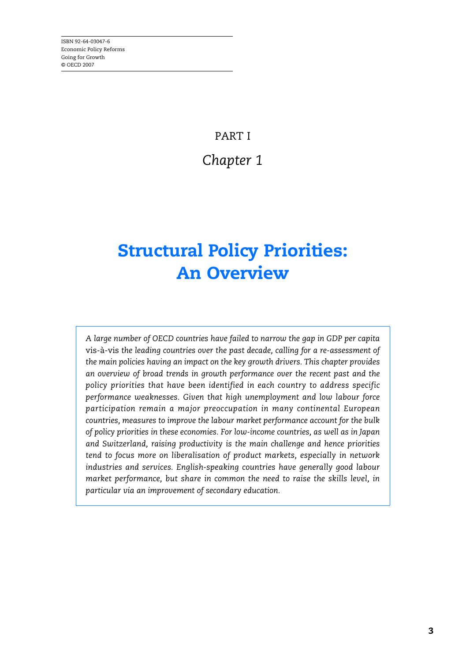PART I

*Chapter 1* 

## **Structural Policy Priorities: An Overview**

*A large number of OECD countries have failed to narrow the gap in GDP per capita* vis-à-vis *the leading countries over the past decade, calling for a re-assessment of the main policies having an impact on the key growth drivers. This chapter provides an overview of broad trends in growth performance over the recent past and the policy priorities that have been identified in each country to address specific performance weaknesses. Given that high unemployment and low labour force participation remain a major preoccupation in many continental European countries, measures to improve the labour market performance account for the bulk of policy priorities in these economies. For low-income countries, as well as in Japan and Switzerland, raising productivity is the main challenge and hence priorities tend to focus more on liberalisation of product markets, especially in network industries and services. English-speaking countries have generally good labour market performance, but share in common the need to raise the skills level, in particular via an improvement of secondary education.*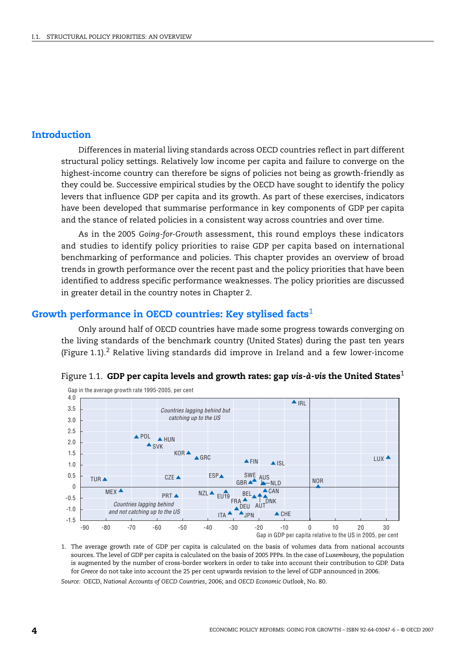#### **Introduction**

Differences in material living standards across OECD countries reflect in part different structural policy settings. Relatively low income per capita and failure to converge on the highest-income country can therefore be signs of policies not being as growth-friendly as they could be. Successive empirical studies by the OECD have sought to identify the policy levers that influence GDP per capita and its growth. As part of these exercises, indicators have been developed that summarise performance in key components of GDP per capita and the stance of related policies in a consistent way across countries and over time.

As in the 2005 *Going-for-Growth* assessment, this round employs these indicators and studies to identify policy priorities to raise GDP per capita based on international benchmarking of performance and policies. This chapter provides an overview of broad trends in growth performance over the recent past and the policy priorities that have been identified to address specific performance weaknesses. The policy priorities are discussed in greater detail in the country notes in Chapter 2.

#### **Growth performance in OECD countries: Key stylised facts**<sup>1</sup>

Only around half of OECD countries have made some progress towards converging on the living standards of the benchmark country (United States) during the past ten years (Figure 1.1).<sup>2</sup> Relative living standards did improve in Ireland and a few lower-income



Figure 1.1. **GDP per capita levels and growth rates: gap** *vis-à-vis* **the United States**<sup>1</sup>

1. The average growth rate of GDP per capita is calculated on the basis of volumes data from national accounts sources. The level of GDP per capita is calculated on the basis of 2005 PPPs. In the case of *Luxembourg*, the population is augmented by the number of cross-border workers in order to take into account their contribution to GDP. Data for *Greece* do not take into account the 25 per cent upwards revision to the level of GDP announced in 2006. *Source:* OECD, *National Accounts of OECD Countries*, 2006; and *OECD Economic Outlook*, No. 80.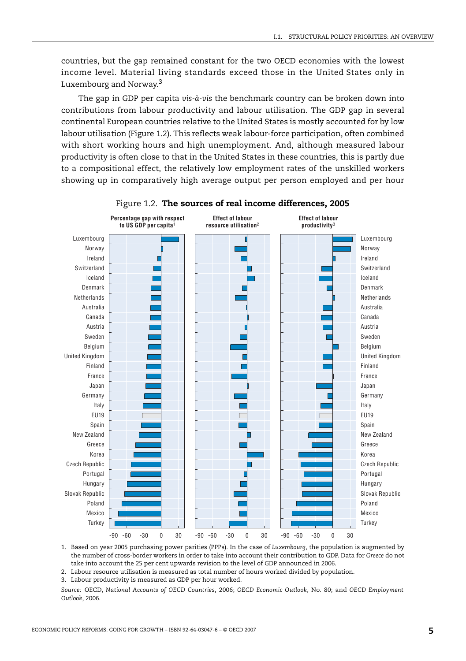countries, but the gap remained constant for the two OECD economies with the lowest income level. Material living standards exceed those in the United States only in Luxembourg and Norway.<sup>3</sup>

The gap in GDP per capita *vis-à-vis* the benchmark country can be broken down into contributions from labour productivity and labour utilisation. The GDP gap in several continental European countries relative to the United States is mostly accounted for by low labour utilisation (Figure 1.2). This reflects weak labour-force participation, often combined with short working hours and high unemployment. And, although measured labour productivity is often close to that in the United States in these countries, this is partly due to a compositional effect, the relatively low employment rates of the unskilled workers showing up in comparatively high average output per person employed and per hour





1. Based on year 2005 purchasing power parities (PPPs). In the case of *Luxembourg*, the population is augmented by the number of cross-border workers in order to take into account their contribution to GDP. Data for *Greece* do not take into account the 25 per cent upwards revision to the level of GDP announced in 2006.

2. Labour resource utilisation is measured as total number of hours worked divided by population.

3. Labour productivity is measured as GDP per hour worked.

*Source:* OECD, *National Accounts of OECD Countries*, 2006; *OECD Economic Outlook*, No. 80; and *OECD Employment Outlook*, 2006.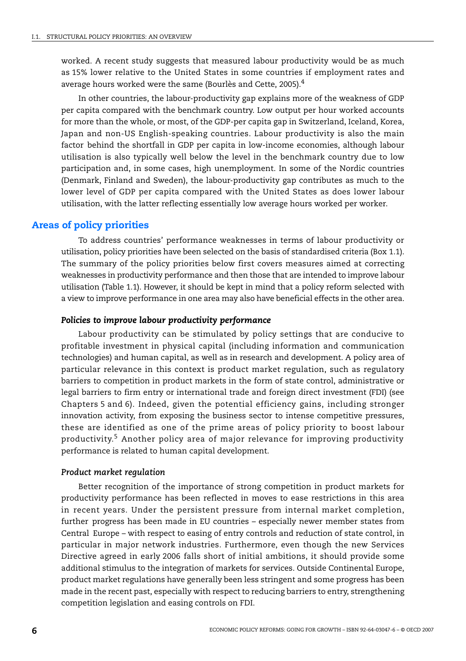worked. A recent study suggests that measured labour productivity would be as much as 15% lower relative to the United States in some countries if employment rates and average hours worked were the same (Bourlès and Cette, 2005).4

In other countries, the labour-productivity gap explains more of the weakness of GDP per capita compared with the benchmark country. Low output per hour worked accounts for more than the whole, or most, of the GDP-per capita gap in Switzerland, Iceland, Korea, Japan and non-US English-speaking countries. Labour productivity is also the main factor behind the shortfall in GDP per capita in low-income economies, although labour utilisation is also typically well below the level in the benchmark country due to low participation and, in some cases, high unemployment. In some of the Nordic countries (Denmark, Finland and Sweden), the labour-productivity gap contributes as much to the lower level of GDP per capita compared with the United States as does lower labour utilisation, with the latter reflecting essentially low average hours worked per worker.

#### **Areas of policy priorities**

To address countries' performance weaknesses in terms of labour productivity or utilisation, policy priorities have been selected on the basis of standardised criteria (Box 1.1). The summary of the policy priorities below first covers measures aimed at correcting weaknesses in productivity performance and then those that are intended to improve labour utilisation (Table 1.1). However, it should be kept in mind that a policy reform selected with a view to improve performance in one area may also have beneficial effects in the other area.

#### *Policies to improve labour productivity performance*

Labour productivity can be stimulated by policy settings that are conducive to profitable investment in physical capital (including information and communication technologies) and human capital, as well as in research and development. A policy area of particular relevance in this context is product market regulation, such as regulatory barriers to competition in product markets in the form of state control, administrative or legal barriers to firm entry or international trade and foreign direct investment (FDI) (see Chapters 5 and 6). Indeed, given the potential efficiency gains, including stronger innovation activity, from exposing the business sector to intense competitive pressures, these are identified as one of the prime areas of policy priority to boost labour productivity.5 Another policy area of major relevance for improving productivity performance is related to human capital development.

#### *Product market regulation*

Better recognition of the importance of strong competition in product markets for productivity performance has been reflected in moves to ease restrictions in this area in recent years. Under the persistent pressure from internal market completion, further progress has been made in EU countries – especially newer member states from Central Europe – with respect to easing of entry controls and reduction of state control, in particular in major network industries. Furthermore, even though the new Services Directive agreed in early 2006 falls short of initial ambitions, it should provide some additional stimulus to the integration of markets for services. Outside Continental Europe, product market regulations have generally been less stringent and some progress has been made in the recent past, especially with respect to reducing barriers to entry, strengthening competition legislation and easing controls on FDI.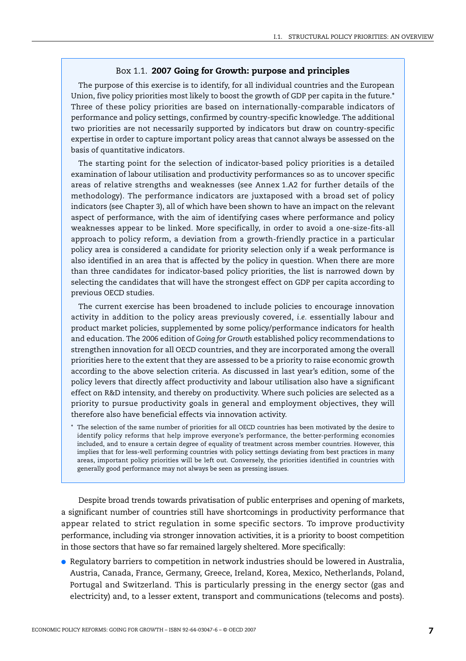#### Box 1.1. **2007 Going for Growth: purpose and principles**

The purpose of this exercise is to identify, for all individual countries and the European Union, five policy priorities most likely to boost the growth of GDP per capita in the future.\* Three of these policy priorities are based on internationally-comparable indicators of performance and policy settings, confirmed by country-specific knowledge. The additional two priorities are not necessarily supported by indicators but draw on country-specific expertise in order to capture important policy areas that cannot always be assessed on the basis of quantitative indicators.

The starting point for the selection of indicator-based policy priorities is a detailed examination of labour utilisation and productivity performances so as to uncover specific areas of relative strengths and weaknesses (see Annex 1.A2 for further details of the methodology). The performance indicators are juxtaposed with a broad set of policy indicators (see Chapter 3), all of which have been shown to have an impact on the relevant aspect of performance, with the aim of identifying cases where performance and policy weaknesses appear to be linked. More specifically, in order to avoid a one-size-fits-all approach to policy reform, a deviation from a growth-friendly practice in a particular policy area is considered a candidate for priority selection only if a weak performance is also identified in an area that is affected by the policy in question. When there are more than three candidates for indicator-based policy priorities, the list is narrowed down by selecting the candidates that will have the strongest effect on GDP per capita according to previous OECD studies.

The current exercise has been broadened to include policies to encourage innovation activity in addition to the policy areas previously covered, *i.e.* essentially labour and product market policies, supplemented by some policy/performance indicators for health and education. The 2006 edition of *Going for Growth* established policy recommendations to strengthen innovation for all OECD countries, and they are incorporated among the overall priorities here to the extent that they are assessed to be a priority to raise economic growth according to the above selection criteria. As discussed in last year's edition, some of the policy levers that directly affect productivity and labour utilisation also have a significant effect on R&D intensity, and thereby on productivity. Where such policies are selected as a priority to pursue productivity goals in general and employment objectives, they will therefore also have beneficial effects via innovation activity.

\* The selection of the same number of priorities for all OECD countries has been motivated by the desire to identify policy reforms that help improve everyone's performance, the better-performing economies included, and to ensure a certain degree of equality of treatment across member countries. However, this implies that for less-well performing countries with policy settings deviating from best practices in many areas, important policy priorities will be left out. Conversely, the priorities identified in countries with generally good performance may not always be seen as pressing issues.

Despite broad trends towards privatisation of public enterprises and opening of markets, a significant number of countries still have shortcomings in productivity performance that appear related to strict regulation in some specific sectors. To improve productivity performance, including via stronger innovation activities, it is a priority to boost competition in those sectors that have so far remained largely sheltered. More specifically:

● Regulatory barriers to competition in network industries should be lowered in Australia, Austria, Canada, France, Germany, Greece, Ireland, Korea, Mexico, Netherlands, Poland, Portugal and Switzerland. This is particularly pressing in the energy sector (gas and electricity) and, to a lesser extent, transport and communications (telecoms and posts).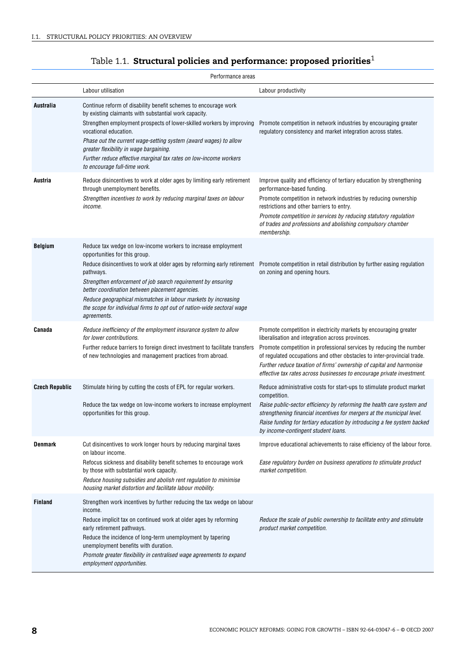|                       | Performance areas                                                                                                                                                                                                                                                                                                                                                                                                                                                     |                                                                                                                                                                                                                                                                                                                                                                                                                           |
|-----------------------|-----------------------------------------------------------------------------------------------------------------------------------------------------------------------------------------------------------------------------------------------------------------------------------------------------------------------------------------------------------------------------------------------------------------------------------------------------------------------|---------------------------------------------------------------------------------------------------------------------------------------------------------------------------------------------------------------------------------------------------------------------------------------------------------------------------------------------------------------------------------------------------------------------------|
|                       | Labour utilisation                                                                                                                                                                                                                                                                                                                                                                                                                                                    | Labour productivity                                                                                                                                                                                                                                                                                                                                                                                                       |
| Australia             | Continue reform of disability benefit schemes to encourage work<br>by existing claimants with substantial work capacity.<br>Strengthen employment prospects of lower-skilled workers by improving<br>vocational education.<br>Phase out the current wage-setting system (award wages) to allow<br>greater flexibility in wage bargaining.<br>Further reduce effective marginal tax rates on low-income workers<br>to encourage full-time work.                        | Promote competition in network industries by encouraging greater<br>regulatory consistency and market integration across states.                                                                                                                                                                                                                                                                                          |
| Austria               | Reduce disincentives to work at older ages by limiting early retirement<br>through unemployment benefits.<br>Strengthen incentives to work by reducing marginal taxes on labour<br>income.                                                                                                                                                                                                                                                                            | Improve quality and efficiency of tertiary education by strengthening<br>performance-based funding.<br>Promote competition in network industries by reducing ownership<br>restrictions and other barriers to entry.<br>Promote competition in services by reducing statutory regulation<br>of trades and professions and abolishing compulsory chamber<br>membership.                                                     |
| <b>Belgium</b>        | Reduce tax wedge on low-income workers to increase employment<br>opportunities for this group.<br>Reduce disincentives to work at older ages by reforming early retirement<br>pathways.<br>Strengthen enforcement of job search requirement by ensuring<br>better coordination between placement agencies.<br>Reduce geographical mismatches in labour markets by increasing<br>the scope for individual firms to opt out of nation-wide sectoral wage<br>agreements. | Promote competition in retail distribution by further easing regulation<br>on zoning and opening hours.                                                                                                                                                                                                                                                                                                                   |
| Canada                | Reduce inefficiency of the employment insurance system to allow<br>for lower contributions.<br>Further reduce barriers to foreign direct investment to facilitate transfers<br>of new technologies and management practices from abroad.                                                                                                                                                                                                                              | Promote competition in electricity markets by encouraging greater<br>liberalisation and integration across provinces.<br>Promote competition in professional services by reducing the number<br>of regulated occupations and other obstacles to inter-provincial trade.<br>Further reduce taxation of firms' ownership of capital and harmonise<br>effective tax rates across businesses to encourage private investment. |
| <b>Czech Republic</b> | Stimulate hiring by cutting the costs of EPL for regular workers.<br>Reduce the tax wedge on low-income workers to increase employment<br>opportunities for this group.                                                                                                                                                                                                                                                                                               | Reduce administrative costs for start-ups to stimulate product market<br>competition.<br>Raise public-sector efficiency by reforming the health care system and<br>strengthening financial incentives for mergers at the municipal level.<br>Raise funding for tertiary education by introducing a fee system backed<br>by income-contingent student loans.                                                               |
| Denmark               | Cut disincentives to work longer hours by reducing marginal taxes<br>on labour income.<br>Refocus sickness and disability benefit schemes to encourage work<br>by those with substantial work capacity.<br>Reduce housing subsidies and abolish rent regulation to minimise<br>housing market distortion and facilitate labour mobility.                                                                                                                              | Improve educational achievements to raise efficiency of the labour force.<br>Ease regulatory burden on business operations to stimulate product<br>market competition.                                                                                                                                                                                                                                                    |
| Finland               | Strengthen work incentives by further reducing the tax wedge on labour<br>income.<br>Reduce implicit tax on continued work at older ages by reforming<br>early retirement pathways.<br>Reduce the incidence of long-term unemployment by tapering<br>unemployment benefits with duration.<br>Promote greater flexibility in centralised wage agreements to expand<br>employment opportunities.                                                                        | Reduce the scale of public ownership to facilitate entry and stimulate<br>product market competition.                                                                                                                                                                                                                                                                                                                     |

### Table 1.1. **Structural policies and performance: proposed priorities**<sup>1</sup>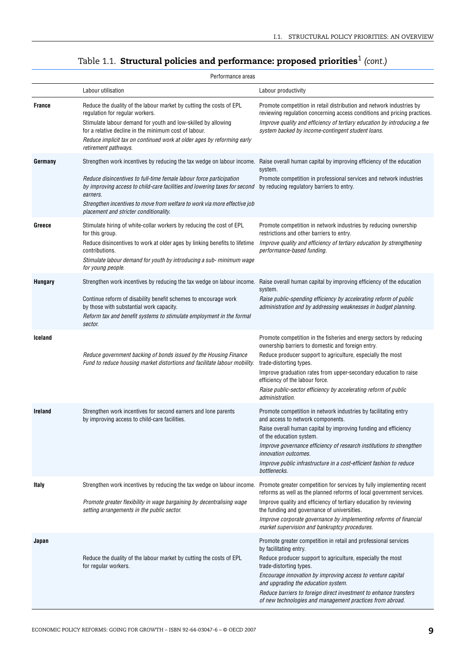|                | Performance areas                                                                                                                                                                                                                                                                                                                                                                                                                   |                                                                                                                                                                                                                                                                                                                                                                                                                             |  |  |  |
|----------------|-------------------------------------------------------------------------------------------------------------------------------------------------------------------------------------------------------------------------------------------------------------------------------------------------------------------------------------------------------------------------------------------------------------------------------------|-----------------------------------------------------------------------------------------------------------------------------------------------------------------------------------------------------------------------------------------------------------------------------------------------------------------------------------------------------------------------------------------------------------------------------|--|--|--|
|                | Labour utilisation                                                                                                                                                                                                                                                                                                                                                                                                                  | Labour productivity                                                                                                                                                                                                                                                                                                                                                                                                         |  |  |  |
| <b>France</b>  | Reduce the duality of the labour market by cutting the costs of EPL<br>regulation for regular workers.<br>Stimulate labour demand for youth and low-skilled by allowing<br>for a relative decline in the minimum cost of labour.<br>Reduce implicit tax on continued work at older ages by reforming early<br>retirement pathways.                                                                                                  | Promote competition in retail distribution and network industries by<br>reviewing regulation concerning access conditions and pricing practices.<br>Improve quality and efficiency of tertiary education by introducing a fee<br>system backed by income-contingent student loans.                                                                                                                                          |  |  |  |
| Germany        | Strengthen work incentives by reducing the tax wedge on labour income. Raise overall human capital by improving efficiency of the education<br>Reduce disincentives to full-time female labour force participation<br>by improving access to child-care facilities and lowering taxes for second<br>earners.<br>Strengthen incentives to move from welfare to work via more effective job<br>placement and stricter conditionality. | system.<br>Promote competition in professional services and network industries<br>by reducing regulatory barriers to entry.                                                                                                                                                                                                                                                                                                 |  |  |  |
| Greece         | Stimulate hiring of white-collar workers by reducing the cost of EPL<br>for this group.<br>Reduce disincentives to work at older ages by linking benefits to lifetime<br>contributions.<br>Stimulate labour demand for youth by introducing a sub- minimum wage<br>for young people.                                                                                                                                                | Promote competition in network industries by reducing ownership<br>restrictions and other barriers to entry.<br>Improve quality and efficiency of tertiary education by strengthening<br>performance-based funding.                                                                                                                                                                                                         |  |  |  |
| <b>Hungary</b> | Strengthen work incentives by reducing the tax wedge on labour income. Raise overall human capital by improving efficiency of the education<br>Continue reform of disability benefit schemes to encourage work<br>by those with substantial work capacity.<br>Reform tax and benefit systems to stimulate employment in the formal<br>sector.                                                                                       | system.<br>Raise public-spending efficiency by accelerating reform of public<br>administration and by addressing weaknesses in budget planning.                                                                                                                                                                                                                                                                             |  |  |  |
| Iceland        | Reduce government backing of bonds issued by the Housing Finance<br>Fund to reduce housing market distortions and facilitate labour mobility.                                                                                                                                                                                                                                                                                       | Promote competition in the fisheries and energy sectors by reducing<br>ownership barriers to domestic and foreign entry.<br>Reduce producer support to agriculture, especially the most<br>trade-distorting types.<br>Improve graduation rates from upper-secondary education to raise<br>efficiency of the labour force.<br>Raise public-sector efficiency by accelerating reform of public<br>administration.             |  |  |  |
| <b>Ireland</b> | Strengthen work incentives for second earners and lone parents<br>by improving access to child-care facilities.                                                                                                                                                                                                                                                                                                                     | Promote competition in network industries by facilitating entry<br>and access to network components.<br>Raise overall human capital by improving funding and efficiency<br>of the education system.<br>Improve governance efficiency of research institutions to strengthen<br>innovation outcomes.<br>Improve public infrastructure in a cost-efficient fashion to reduce<br>bottlenecks.                                  |  |  |  |
| Italy          | Strengthen work incentives by reducing the tax wedge on labour income.<br>Promote greater flexibility in wage bargaining by decentralising wage<br>setting arrangements in the public sector.                                                                                                                                                                                                                                       | Promote greater competition for services by fully implementing recent<br>reforms as well as the planned reforms of local government services.<br>Improve quality and efficiency of tertiary education by reviewing<br>the funding and governance of universities.<br>Improve corporate governance by implementing reforms of financial<br>market supervision and bankruptcy procedures.                                     |  |  |  |
| Japan          | Reduce the duality of the labour market by cutting the costs of EPL<br>for regular workers.                                                                                                                                                                                                                                                                                                                                         | Promote greater competition in retail and professional services<br>by facilitating entry.<br>Reduce producer support to agriculture, especially the most<br>trade-distorting types.<br>Encourage innovation by improving access to venture capital<br>and upgrading the education system.<br>Reduce barriers to foreign direct investment to enhance transfers<br>of new technologies and management practices from abroad. |  |  |  |

### Table 1.1. **Structural policies and performance: proposed priorities**<sup>1</sup> *(cont.)*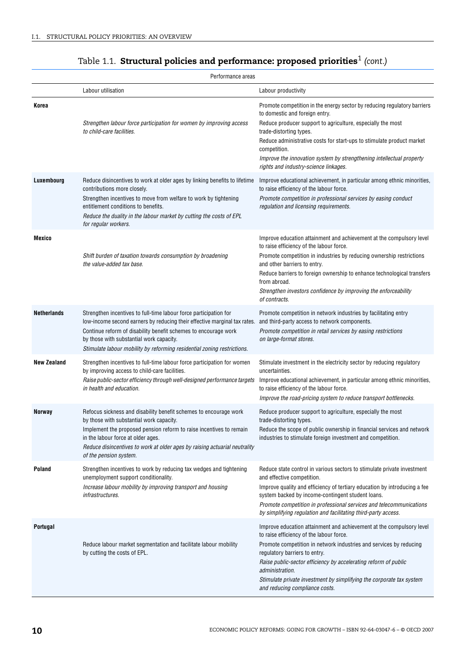|                    | Performance areas                                                                                                                                                                                                                                                                                                                        |                                                                                                                                                                                                                                                                                                                                                                                                                                |  |  |  |
|--------------------|------------------------------------------------------------------------------------------------------------------------------------------------------------------------------------------------------------------------------------------------------------------------------------------------------------------------------------------|--------------------------------------------------------------------------------------------------------------------------------------------------------------------------------------------------------------------------------------------------------------------------------------------------------------------------------------------------------------------------------------------------------------------------------|--|--|--|
|                    | Labour utilisation                                                                                                                                                                                                                                                                                                                       | Labour productivity                                                                                                                                                                                                                                                                                                                                                                                                            |  |  |  |
| Korea              | Strengthen labour force participation for women by improving access<br>to child-care facilities.                                                                                                                                                                                                                                         | Promote competition in the energy sector by reducing regulatory barriers<br>to domestic and foreign entry.<br>Reduce producer support to agriculture, especially the most<br>trade-distorting types.<br>Reduce administrative costs for start-ups to stimulate product market<br>competition.<br>Improve the innovation system by strengthening intellectual property<br>rights and industry-science linkages.                 |  |  |  |
| Luxembourg         | Reduce disincentives to work at older ages by linking benefits to lifetime<br>contributions more closely.<br>Strengthen incentives to move from welfare to work by tightening<br>entitlement conditions to benefits.<br>Reduce the duality in the labour market by cutting the costs of EPL<br>for regular workers.                      | Improve educational achievement, in particular among ethnic minorities,<br>to raise efficiency of the labour force.<br>Promote competition in professional services by easing conduct<br>regulation and licensing requirements.                                                                                                                                                                                                |  |  |  |
| <b>Mexico</b>      | Shift burden of taxation towards consumption by broadening<br>the value-added tax base.                                                                                                                                                                                                                                                  | Improve education attainment and achievement at the compulsory level<br>to raise efficiency of the labour force.<br>Promote competition in industries by reducing ownership restrictions<br>and other barriers to entry.<br>Reduce barriers to foreign ownership to enhance technological transfers<br>from abroad.<br>Strengthen investors confidence by improving the enforceability<br>of contracts.                        |  |  |  |
| <b>Netherlands</b> | Strengthen incentives to full-time labour force participation for<br>low-income second earners by reducing their effective marginal tax rates.<br>Continue reform of disability benefit schemes to encourage work<br>by those with substantial work capacity.<br>Stimulate labour mobility by reforming residential zoning restrictions. | Promote competition in network industries by facilitating entry<br>and third-party access to network components.<br>Promote competition in retail services by easing restrictions<br>on large-format stores.                                                                                                                                                                                                                   |  |  |  |
| <b>New Zealand</b> | Strengthen incentives to full-time labour force participation for women<br>by improving access to child-care facilities.<br>Raise public-sector efficiency through well-designed performance targets<br>in health and education.                                                                                                         | Stimulate investment in the electricity sector by reducing regulatory<br>uncertainties.<br>Improve educational achievement, in particular among ethnic minorities,<br>to raise efficiency of the labour force.<br>Improve the road-pricing system to reduce transport bottlenecks.                                                                                                                                             |  |  |  |
| Norway             | Refocus sickness and disability benefit schemes to encourage work<br>by those with substantial work capacity.<br>Implement the proposed pension reform to raise incentives to remain<br>in the labour force at older ages.<br>Reduce disincentives to work at older ages by raising actuarial neutrality<br>of the pension system.       | Reduce producer support to agriculture, especially the most<br>trade-distorting types.<br>Reduce the scope of public ownership in financial services and network<br>industries to stimulate foreign investment and competition.                                                                                                                                                                                                |  |  |  |
| Poland             | Strengthen incentives to work by reducing tax wedges and tightening<br>unemployment support conditionality.<br>Increase labour mobility by improving transport and housing<br><i>infrastructures.</i>                                                                                                                                    | Reduce state control in various sectors to stimulate private investment<br>and effective competition.<br>Improve quality and efficiency of tertiary education by introducing a fee<br>system backed by income-contingent student loans.<br>Promote competition in professional services and telecommunications<br>by simplifying regulation and facilitating third-party access.                                               |  |  |  |
| Portugal           | Reduce labour market segmentation and facilitate labour mobility<br>by cutting the costs of EPL.                                                                                                                                                                                                                                         | Improve education attainment and achievement at the compulsory level<br>to raise efficiency of the labour force.<br>Promote competition in network industries and services by reducing<br>regulatory barriers to entry.<br>Raise public-sector efficiency by accelerating reform of public<br><i>administration.</i><br>Stimulate private investment by simplifying the corporate tax system<br>and reducing compliance costs. |  |  |  |

### Table 1.1. **Structural policies and performance: proposed priorities**<sup>1</sup> *(cont.)*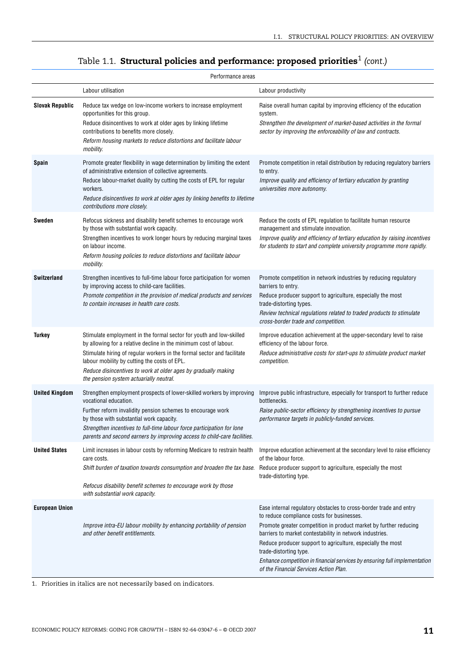|                        | Performance areas                                                                                                                                                                                                                                                                                                                                                                |                                                                                                                                                                                                                                                                                                                                                                                                                                                                   |  |  |  |
|------------------------|----------------------------------------------------------------------------------------------------------------------------------------------------------------------------------------------------------------------------------------------------------------------------------------------------------------------------------------------------------------------------------|-------------------------------------------------------------------------------------------------------------------------------------------------------------------------------------------------------------------------------------------------------------------------------------------------------------------------------------------------------------------------------------------------------------------------------------------------------------------|--|--|--|
|                        | Labour utilisation                                                                                                                                                                                                                                                                                                                                                               | Labour productivity                                                                                                                                                                                                                                                                                                                                                                                                                                               |  |  |  |
| <b>Slovak Republic</b> | Reduce tax wedge on low-income workers to increase employment<br>opportunities for this group.<br>Reduce disincentives to work at older ages by linking lifetime<br>contributions to benefits more closely.<br>Reform housing markets to reduce distortions and facilitate labour<br>mobility.                                                                                   | Raise overall human capital by improving efficiency of the education<br>system.<br>Strengthen the development of market-based activities in the formal<br>sector by improving the enforceability of law and contracts.                                                                                                                                                                                                                                            |  |  |  |
| Spain                  | Promote greater flexibility in wage determination by limiting the extent<br>of administrative extension of collective agreements.<br>Reduce labour-market duality by cutting the costs of EPL for regular<br>workers.<br>Reduce disincentives to work at older ages by linking benefits to lifetime<br>contributions more closely.                                               | Promote competition in retail distribution by reducing regulatory barriers<br>to entry.<br>Improve quality and efficiency of tertiary education by granting<br>universities more autonomy.                                                                                                                                                                                                                                                                        |  |  |  |
| Sweden                 | Refocus sickness and disability benefit schemes to encourage work<br>by those with substantial work capacity.<br>Strengthen incentives to work longer hours by reducing marginal taxes<br>on labour income.<br>Reform housing policies to reduce distortions and facilitate labour<br>mobility.                                                                                  | Reduce the costs of EPL regulation to facilitate human resource<br>management and stimulate innovation.<br>Improve quality and efficiency of tertiary education by raising incentives<br>for students to start and complete university programme more rapidly.                                                                                                                                                                                                    |  |  |  |
| <b>Switzerland</b>     | Strengthen incentives to full-time labour force participation for women<br>by improving access to child-care facilities.<br>Promote competition in the provision of medical products and services<br>to contain increases in health care costs.                                                                                                                                  | Promote competition in network industries by reducing regulatory<br>barriers to entry.<br>Reduce producer support to agriculture, especially the most<br>trade-distorting types.<br>Review technical regulations related to traded products to stimulate<br>cross-border trade and competition.                                                                                                                                                                   |  |  |  |
| Turkey                 | Stimulate employment in the formal sector for youth and low-skilled<br>by allowing for a relative decline in the minimum cost of labour.<br>Stimulate hiring of regular workers in the formal sector and facilitate<br>labour mobility by cutting the costs of EPL.<br>Reduce disincentives to work at older ages by gradually making<br>the pension system actuarially neutral. | Improve education achievement at the upper-secondary level to raise<br>efficiency of the labour force.<br>Reduce administrative costs for start-ups to stimulate product market<br>competition.                                                                                                                                                                                                                                                                   |  |  |  |
| <b>United Kingdom</b>  | Strengthen employment prospects of lower-skilled workers by improving<br>vocational education.<br>Further reform invalidity pension schemes to encourage work<br>by those with substantial work capacity.<br>Strengthen incentives to full-time labour force participation for lone<br>parents and second earners by improving access to child-care facilities.                  | Improve public infrastructure, especially for transport to further reduce<br>bottlenecks.<br>Raise public-sector efficiency by strengthening incentives to pursue<br>performance targets in publicly-funded services.                                                                                                                                                                                                                                             |  |  |  |
| <b>United States</b>   | Limit increases in labour costs by reforming Medicare to restrain health<br>care costs.<br>Shift burden of taxation towards consumption and broaden the tax base.<br>Refocus disability benefit schemes to encourage work by those<br>with substantial work capacity.                                                                                                            | Improve education achievement at the secondary level to raise efficiency<br>of the labour force<br>Reduce producer support to agriculture, especially the most<br>trade-distorting type.                                                                                                                                                                                                                                                                          |  |  |  |
| <b>European Union</b>  | Improve intra-EU labour mobility by enhancing portability of pension<br>and other benefit entitlements.                                                                                                                                                                                                                                                                          | Ease internal regulatory obstacles to cross-border trade and entry<br>to reduce compliance costs for businesses.<br>Promote greater competition in product market by further reducing<br>barriers to market contestability in network industries.<br>Reduce producer support to agriculture, especially the most<br>trade-distorting type.<br>Enhance competition in financial services by ensuring full implementation<br>of the Financial Services Action Plan. |  |  |  |

### Table 1.1. **Structural policies and performance: proposed priorities**<sup>1</sup> *(cont.)*

1. Priorities in italics are not necessarily based on indicators.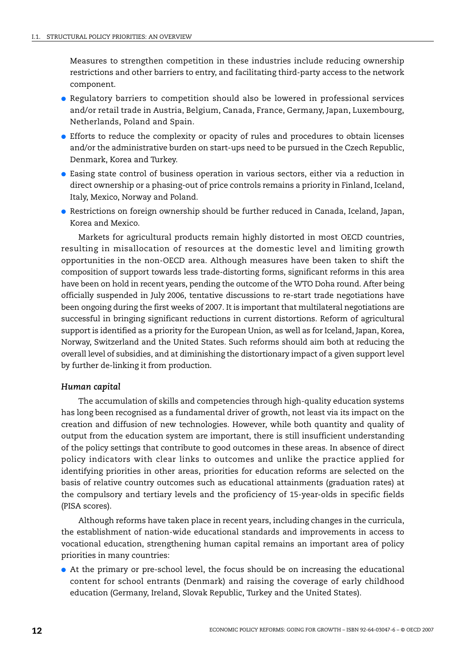Measures to strengthen competition in these industries include reducing ownership restrictions and other barriers to entry, and facilitating third-party access to the network component.

- Regulatory barriers to competition should also be lowered in professional services and/or retail trade in Austria, Belgium, Canada, France, Germany, Japan, Luxembourg, Netherlands, Poland and Spain.
- Efforts to reduce the complexity or opacity of rules and procedures to obtain licenses and/or the administrative burden on start-ups need to be pursued in the Czech Republic, Denmark, Korea and Turkey.
- Easing state control of business operation in various sectors, either via a reduction in direct ownership or a phasing-out of price controls remains a priority in Finland, Iceland, Italy, Mexico, Norway and Poland.
- Restrictions on foreign ownership should be further reduced in Canada, Iceland, Japan, Korea and Mexico.

Markets for agricultural products remain highly distorted in most OECD countries, resulting in misallocation of resources at the domestic level and limiting growth opportunities in the non-OECD area. Although measures have been taken to shift the composition of support towards less trade-distorting forms, significant reforms in this area have been on hold in recent years, pending the outcome of the WTO Doha round. After being officially suspended in July 2006, tentative discussions to re-start trade negotiations have been ongoing during the first weeks of 2007. It is important that multilateral negotiations are successful in bringing significant reductions in current distortions. Reform of agricultural support is identified as a priority for the European Union, as well as for Iceland, Japan, Korea, Norway, Switzerland and the United States. Such reforms should aim both at reducing the overall level of subsidies, and at diminishing the distortionary impact of a given support level by further de-linking it from production.

#### *Human capital*

The accumulation of skills and competencies through high-quality education systems has long been recognised as a fundamental driver of growth, not least via its impact on the creation and diffusion of new technologies. However, while both quantity and quality of output from the education system are important, there is still insufficient understanding of the policy settings that contribute to good outcomes in these areas. In absence of direct policy indicators with clear links to outcomes and unlike the practice applied for identifying priorities in other areas, priorities for education reforms are selected on the basis of relative country outcomes such as educational attainments (graduation rates) at the compulsory and tertiary levels and the proficiency of 15-year-olds in specific fields (PISA scores).

Although reforms have taken place in recent years, including changes in the curricula, the establishment of nation-wide educational standards and improvements in access to vocational education, strengthening human capital remains an important area of policy priorities in many countries:

● At the primary or pre-school level, the focus should be on increasing the educational content for school entrants (Denmark) and raising the coverage of early childhood education (Germany, Ireland, Slovak Republic, Turkey and the United States).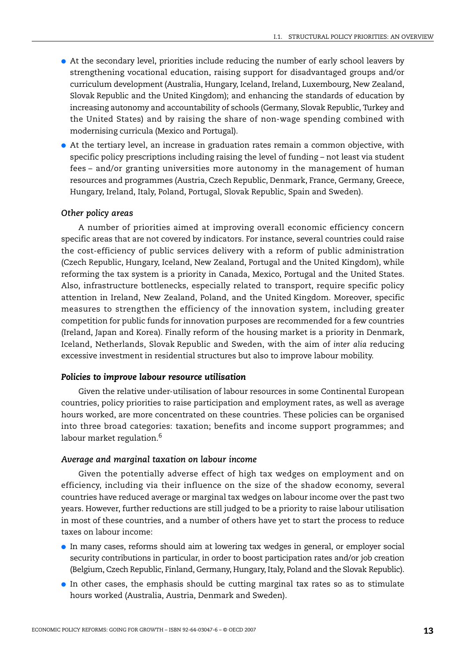- At the secondary level, priorities include reducing the number of early school leavers by strengthening vocational education, raising support for disadvantaged groups and/or curriculum development (Australia, Hungary, Iceland, Ireland, Luxembourg, New Zealand, Slovak Republic and the United Kingdom); and enhancing the standards of education by increasing autonomy and accountability of schools (Germany, Slovak Republic, Turkey and the United States) and by raising the share of non-wage spending combined with modernising curricula (Mexico and Portugal).
- At the tertiary level, an increase in graduation rates remain a common objective, with specific policy prescriptions including raising the level of funding – not least via student fees – and/or granting universities more autonomy in the management of human resources and programmes (Austria, Czech Republic, Denmark, France, Germany, Greece, Hungary, Ireland, Italy, Poland, Portugal, Slovak Republic, Spain and Sweden).

#### *Other policy areas*

A number of priorities aimed at improving overall economic efficiency concern specific areas that are not covered by indicators. For instance, several countries could raise the cost-efficiency of public services delivery with a reform of public administration (Czech Republic, Hungary, Iceland, New Zealand, Portugal and the United Kingdom), while reforming the tax system is a priority in Canada, Mexico, Portugal and the United States. Also, infrastructure bottlenecks, especially related to transport, require specific policy attention in Ireland, New Zealand, Poland, and the United Kingdom. Moreover, specific measures to strengthen the efficiency of the innovation system, including greater competition for public funds for innovation purposes are recommended for a few countries (Ireland, Japan and Korea). Finally reform of the housing market is a priority in Denmark, Iceland, Netherlands, Slovak Republic and Sweden, with the aim of *inter alia* reducing excessive investment in residential structures but also to improve labour mobility.

#### *Policies to improve labour resource utilisation*

Given the relative under-utilisation of labour resources in some Continental European countries, policy priorities to raise participation and employment rates, as well as average hours worked, are more concentrated on these countries. These policies can be organised into three broad categories: taxation; benefits and income support programmes; and labour market regulation.<sup>6</sup>

#### *Average and marginal taxation on labour income*

Given the potentially adverse effect of high tax wedges on employment and on efficiency, including via their influence on the size of the shadow economy, several countries have reduced average or marginal tax wedges on labour income over the past two years. However, further reductions are still judged to be a priority to raise labour utilisation in most of these countries, and a number of others have yet to start the process to reduce taxes on labour income:

- In many cases, reforms should aim at lowering tax wedges in general, or employer social security contributions in particular, in order to boost participation rates and/or job creation (Belgium, Czech Republic, Finland, Germany, Hungary, Italy, Poland and the Slovak Republic).
- In other cases, the emphasis should be cutting marginal tax rates so as to stimulate hours worked (Australia, Austria, Denmark and Sweden).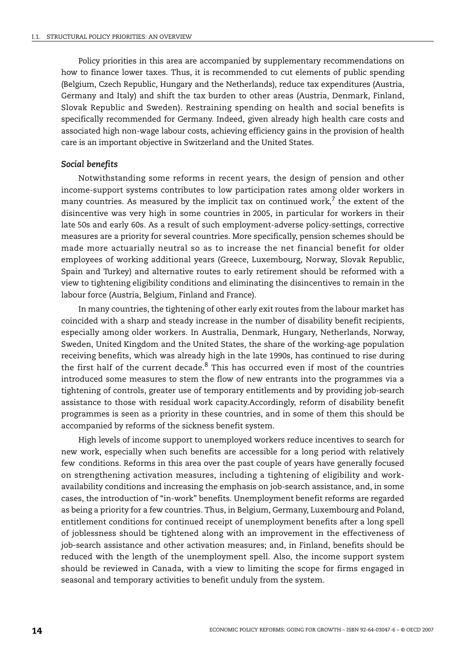Policy priorities in this area are accompanied by supplementary recommendations on how to finance lower taxes. Thus, it is recommended to cut elements of public spending (Belgium, Czech Republic, Hungary and the Netherlands), reduce tax expenditures (Austria, Germany and Italy) and shift the tax burden to other areas (Austria, Denmark, Finland, Slovak Republic and Sweden). Restraining spending on health and social benefits is specifically recommended for Germany. Indeed, given already high health care costs and associated high non-wage labour costs, achieving efficiency gains in the provision of health care is an important objective in Switzerland and the United States.

#### *Social benefits*

Notwithstanding some reforms in recent years, the design of pension and other income-support systems contributes to low participation rates among older workers in many countries. As measured by the implicit tax on continued work, $7$  the extent of the disincentive was very high in some countries in 2005, in particular for workers in their late 50s and early 60s. As a result of such employment-adverse policy-settings, corrective measures are a priority for several countries. More specifically, pension schemes should be made more actuarially neutral so as to increase the net financial benefit for older employees of working additional years (Greece, Luxembourg, Norway, Slovak Republic, Spain and Turkey) and alternative routes to early retirement should be reformed with a view to tightening eligibility conditions and eliminating the disincentives to remain in the labour force (Austria, Belgium, Finland and France).

In many countries, the tightening of other early exit routes from the labour market has coincided with a sharp and steady increase in the number of disability benefit recipients, especially among older workers. In Australia, Denmark, Hungary, Netherlands, Norway, Sweden, United Kingdom and the United States, the share of the working-age population receiving benefits, which was already high in the late 1990s, has continued to rise during the first half of the current decade. $8$  This has occurred even if most of the countries introduced some measures to stem the flow of new entrants into the programmes via a tightening of controls, greater use of temporary entitlements and by providing job-search assistance to those with residual work capacity.Accordingly, reform of disability benefit programmes is seen as a priority in these countries, and in some of them this should be accompanied by reforms of the sickness benefit system.

High levels of income support to unemployed workers reduce incentives to search for new work, especially when such benefits are accessible for a long period with relatively few conditions. Reforms in this area over the past couple of years have generally focused on strengthening activation measures, including a tightening of eligibility and workavailability conditions and increasing the emphasis on job-search assistance, and, in some cases, the introduction of "in-work" benefits. Unemployment benefit reforms are regarded as being a priority for a few countries. Thus, in Belgium, Germany, Luxembourg and Poland, entitlement conditions for continued receipt of unemployment benefits after a long spell of joblessness should be tightened along with an improvement in the effectiveness of job-search assistance and other activation measures; and, in Finland, benefits should be reduced with the length of the unemployment spell. Also, the income support system should be reviewed in Canada, with a view to limiting the scope for firms engaged in seasonal and temporary activities to benefit unduly from the system.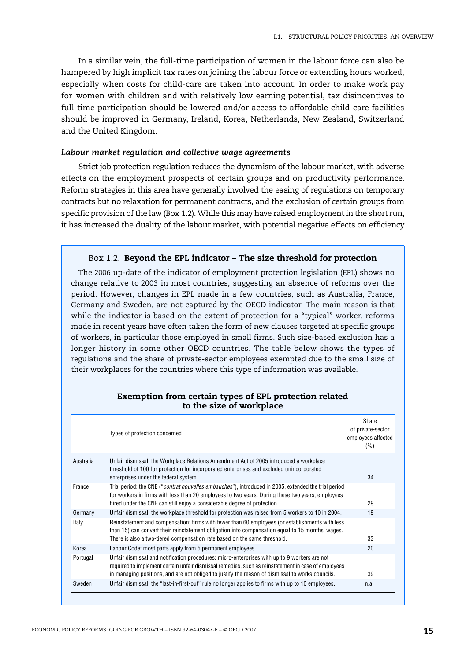In a similar vein, the full-time participation of women in the labour force can also be hampered by high implicit tax rates on joining the labour force or extending hours worked, especially when costs for child-care are taken into account. In order to make work pay for women with children and with relatively low earning potential, tax disincentives to full-time participation should be lowered and/or access to affordable child-care facilities should be improved in Germany, Ireland, Korea, Netherlands, New Zealand, Switzerland and the United Kingdom.

#### *Labour market regulation and collective wage agreements*

Strict job protection regulation reduces the dynamism of the labour market, with adverse effects on the employment prospects of certain groups and on productivity performance. Reform strategies in this area have generally involved the easing of regulations on temporary contracts but no relaxation for permanent contracts, and the exclusion of certain groups from specific provision of the law (Box 1.2). While this may have raised employment in the short run, it has increased the duality of the labour market, with potential negative effects on efficiency

#### Box 1.2. **Beyond the EPL indicator – The size threshold for protection**

The 2006 up-date of the indicator of employment protection legislation (EPL) shows no change relative to 2003 in most countries, suggesting an absence of reforms over the period. However, changes in EPL made in a few countries, such as Australia, France, Germany and Sweden, are not captured by the OECD indicator. The main reason is that while the indicator is based on the extent of protection for a "typical" worker, reforms made in recent years have often taken the form of new clauses targeted at specific groups of workers, in particular those employed in small firms. Such size-based exclusion has a longer history in some other OECD countries. The table below shows the types of regulations and the share of private-sector employees exempted due to the small size of their workplaces for the countries where this type of information was available.

|           | Types of protection concerned                                                                                                                                                                                                                                                                           | Share<br>of private-sector<br>employees affected<br>(%) |
|-----------|---------------------------------------------------------------------------------------------------------------------------------------------------------------------------------------------------------------------------------------------------------------------------------------------------------|---------------------------------------------------------|
| Australia | Unfair dismissal: the Workplace Relations Amendment Act of 2005 introduced a workplace<br>threshold of 100 for protection for incorporated enterprises and excluded unincorporated<br>enterprises under the federal system.                                                                             | 34                                                      |
| France    | Trial period: the CNE ("contrat nouvelles embauches"), introduced in 2005, extended the trial period<br>for workers in firms with less than 20 employees to two years. During these two years, employees<br>hired under the CNE can still enjoy a considerable degree of protection.                    | 29                                                      |
| Germany   | Unfair dismissal: the workplace threshold for protection was raised from 5 workers to 10 in 2004.                                                                                                                                                                                                       | 19                                                      |
| Italy     | Reinstatement and compensation: firms with fewer than 60 employees (or establishments with less<br>than 15) can convert their reinstatement obligation into compensation equal to 15 months' wages.<br>There is also a two-tiered compensation rate based on the same threshold.                        | 33                                                      |
| Korea     | Labour Code: most parts apply from 5 permanent employees.                                                                                                                                                                                                                                               | 20                                                      |
| Portugal  | Unfair dismissal and notification procedures: micro-enterprises with up to 9 workers are not<br>required to implement certain unfair dismissal remedies, such as reinstatement in case of employees<br>in managing positions, and are not obliged to justify the reason of dismissal to works councils. | 39                                                      |
| Sweden    | Unfair dismissal: the "last-in-first-out" rule no longer applies to firms with up to 10 employees.                                                                                                                                                                                                      | n.a.                                                    |

#### **Exemption from certain types of EPL protection related to the size of workplace**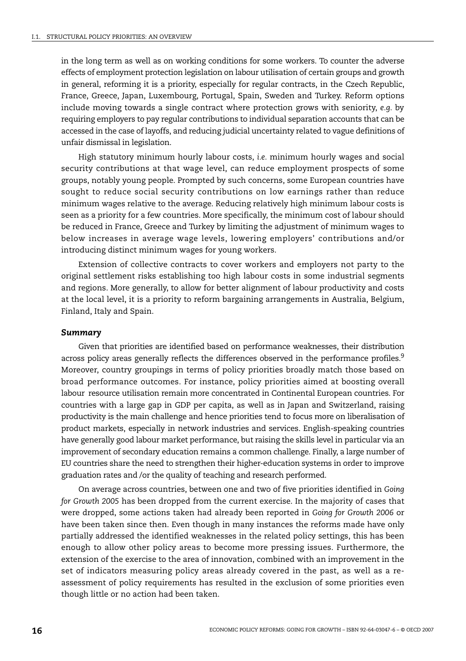in the long term as well as on working conditions for some workers. To counter the adverse effects of employment protection legislation on labour utilisation of certain groups and growth in general, reforming it is a priority, especially for regular contracts, in the Czech Republic, France, Greece, Japan, Luxembourg, Portugal, Spain, Sweden and Turkey. Reform options include moving towards a single contract where protection grows with seniority, *e.g.* by requiring employers to pay regular contributions to individual separation accounts that can be accessed in the case of layoffs, and reducing judicial uncertainty related to vague definitions of unfair dismissal in legislation.

High statutory minimum hourly labour costs, *i.e.* minimum hourly wages and social security contributions at that wage level, can reduce employment prospects of some groups, notably young people. Prompted by such concerns, some European countries have sought to reduce social security contributions on low earnings rather than reduce minimum wages relative to the average. Reducing relatively high minimum labour costs is seen as a priority for a few countries. More specifically, the minimum cost of labour should be reduced in France, Greece and Turkey by limiting the adjustment of minimum wages to below increases in average wage levels, lowering employers' contributions and/or introducing distinct minimum wages for young workers.

Extension of collective contracts to cover workers and employers not party to the original settlement risks establishing too high labour costs in some industrial segments and regions. More generally, to allow for better alignment of labour productivity and costs at the local level, it is a priority to reform bargaining arrangements in Australia, Belgium, Finland, Italy and Spain.

#### *Summary*

Given that priorities are identified based on performance weaknesses, their distribution across policy areas generally reflects the differences observed in the performance profiles.<sup>9</sup> Moreover, country groupings in terms of policy priorities broadly match those based on broad performance outcomes. For instance, policy priorities aimed at boosting overall labour resource utilisation remain more concentrated in Continental European countries. For countries with a large gap in GDP per capita, as well as in Japan and Switzerland, raising productivity is the main challenge and hence priorities tend to focus more on liberalisation of product markets, especially in network industries and services. English-speaking countries have generally good labour market performance, but raising the skills level in particular via an improvement of secondary education remains a common challenge. Finally, a large number of EU countries share the need to strengthen their higher-education systems in order to improve graduation rates and /or the quality of teaching and research performed.

On average across countries, between one and two of five priorities identified in *Going for Growth 2005* has been dropped from the current exercise. In the majority of cases that were dropped, some actions taken had already been reported in *Going for Growth 2006* or have been taken since then. Even though in many instances the reforms made have only partially addressed the identified weaknesses in the related policy settings, this has been enough to allow other policy areas to become more pressing issues. Furthermore, the extension of the exercise to the area of innovation, combined with an improvement in the set of indicators measuring policy areas already covered in the past, as well as a reassessment of policy requirements has resulted in the exclusion of some priorities even though little or no action had been taken.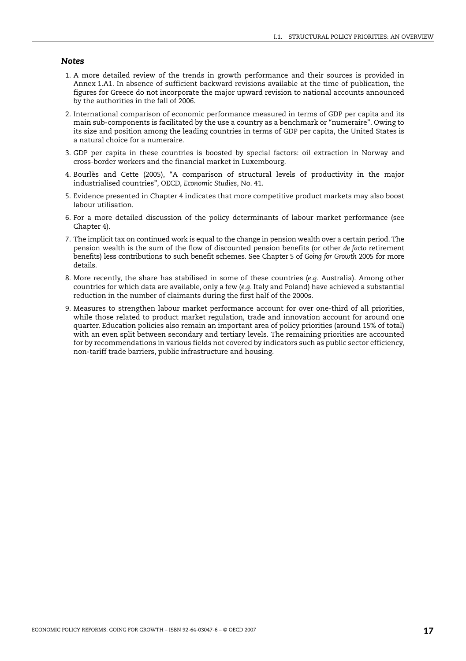#### *Notes*

- 1. A more detailed review of the trends in growth performance and their sources is provided in Annex 1.A1. In absence of sufficient backward revisions available at the time of publication, the figures for Greece do not incorporate the major upward revision to national accounts announced by the authorities in the fall of 2006.
- 2. International comparison of economic performance measured in terms of GDP per capita and its main sub-components is facilitated by the use a country as a benchmark or "numeraire". Owing to its size and position among the leading countries in terms of GDP per capita, the United States is a natural choice for a numeraire.
- 3. GDP per capita in these countries is boosted by special factors: oil extraction in Norway and cross-border workers and the financial market in Luxembourg.
- 4. Bourlès and Cette (2005), "A comparison of structural levels of productivity in the major industrialised countries", OECD, *Economic Studies*, No. 41.
- 5. Evidence presented in Chapter 4 indicates that more competitive product markets may also boost labour utilisation.
- 6. For a more detailed discussion of the policy determinants of labour market performance (see Chapter 4).
- 7. The implicit tax on continued work is equal to the change in pension wealth over a certain period. The pension wealth is the sum of the flow of discounted pension benefits (or other *de facto* retirement benefits) less contributions to such benefit schemes. See Chapter 5 of *Going for Growth* 2005 for more details.
- 8. More recently, the share has stabilised in some of these countries (*e.g.* Australia). Among other countries for which data are available, only a few (*e.g.* Italy and Poland) have achieved a substantial reduction in the number of claimants during the first half of the 2000s.
- 9. Measures to strengthen labour market performance account for over one-third of all priorities, while those related to product market regulation, trade and innovation account for around one quarter. Education policies also remain an important area of policy priorities (around 15% of total) with an even split between secondary and tertiary levels. The remaining priorities are accounted for by recommendations in various fields not covered by indicators such as public sector efficiency, non-tariff trade barriers, public infrastructure and housing.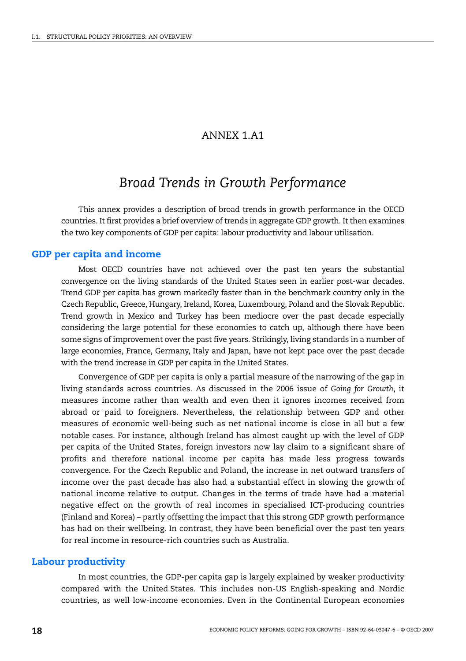#### ANNEX 1.A1

### *Broad Trends in Growth Performance*

This annex provides a description of broad trends in growth performance in the OECD countries. It first provides a brief overview of trends in aggregate GDP growth. It then examines the two key components of GDP per capita: labour productivity and labour utilisation.

#### **GDP per capita and income**

Most OECD countries have not achieved over the past ten years the substantial convergence on the living standards of the United States seen in earlier post-war decades. Trend GDP per capita has grown markedly faster than in the benchmark country only in the Czech Republic, Greece, Hungary, Ireland, Korea, Luxembourg, Poland and the Slovak Republic. Trend growth in Mexico and Turkey has been mediocre over the past decade especially considering the large potential for these economies to catch up, although there have been some signs of improvement over the past five years. Strikingly, living standards in a number of large economies, France, Germany, Italy and Japan, have not kept pace over the past decade with the trend increase in GDP per capita in the United States.

Convergence of GDP per capita is only a partial measure of the narrowing of the gap in living standards across countries. As discussed in the 2006 issue of *Going for Growth*, it measures income rather than wealth and even then it ignores incomes received from abroad or paid to foreigners. Nevertheless, the relationship between GDP and other measures of economic well-being such as net national income is close in all but a few notable cases. For instance, although Ireland has almost caught up with the level of GDP per capita of the United States, foreign investors now lay claim to a significant share of profits and therefore national income per capita has made less progress towards convergence. For the Czech Republic and Poland, the increase in net outward transfers of income over the past decade has also had a substantial effect in slowing the growth of national income relative to output. Changes in the terms of trade have had a material negative effect on the growth of real incomes in specialised ICT-producing countries (Finland and Korea) – partly offsetting the impact that this strong GDP growth performance has had on their wellbeing. In contrast, they have been beneficial over the past ten years for real income in resource-rich countries such as Australia.

#### **Labour productivity**

In most countries, the GDP-per capita gap is largely explained by weaker productivity compared with the United States. This includes non-US English-speaking and Nordic countries, as well low-income economies. Even in the Continental European economies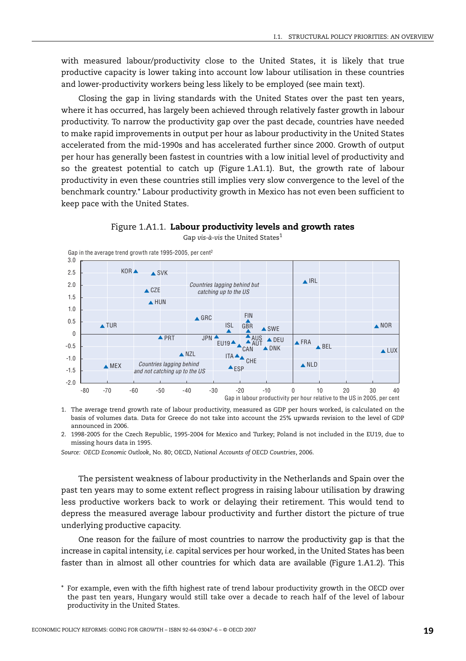with measured labour/productivity close to the United States, it is likely that true productive capacity is lower taking into account low labour utilisation in these countries and lower-productivity workers being less likely to be employed (see main text).

Closing the gap in living standards with the United States over the past ten years, where it has occurred, has largely been achieved through relatively faster growth in labour productivity. To narrow the productivity gap over the past decade, countries have needed to make rapid improvements in output per hour as labour productivity in the United States accelerated from the mid-1990s and has accelerated further since 2000. Growth of output per hour has generally been fastest in countries with a low initial level of productivity and so the greatest potential to catch up (Figure 1.A1.1). But, the growth rate of labour productivity in even these countries still implies very slow convergence to the level of the benchmark country.\* Labour productivity growth in Mexico has not even been sufficient to keep pace with the United States.





Gap *vis-à-vis* the United States<sup>1</sup>

1. The average trend growth rate of labour productivity, measured as GDP per hours worked, is calculated on the basis of volumes data. Data for Greece do not take into account the 25% upwards revision to the level of GDP announced in 2006.

2. 1998-2005 for the Czech Republic, 1995-2004 for Mexico and Turkey; Poland is not included in the EU19, due to missing hours data in 1995.

*Source: OECD Economic Outlook*, No. 80; OECD, *National Accounts of OECD Countries*, 2006.

The persistent weakness of labour productivity in the Netherlands and Spain over the past ten years may to some extent reflect progress in raising labour utilisation by drawing less productive workers back to work or delaying their retirement. This would tend to depress the measured average labour productivity and further distort the picture of true underlying productive capacity.

One reason for the failure of most countries to narrow the productivity gap is that the increase in capital intensity, *i.e.* capital services per hour worked, in the United States has been faster than in almost all other countries for which data are available (Figure 1.A1.2). This

<sup>\*</sup> For example, even with the fifth highest rate of trend labour productivity growth in the OECD over the past ten years, Hungary would still take over a decade to reach half of the level of labour productivity in the United States.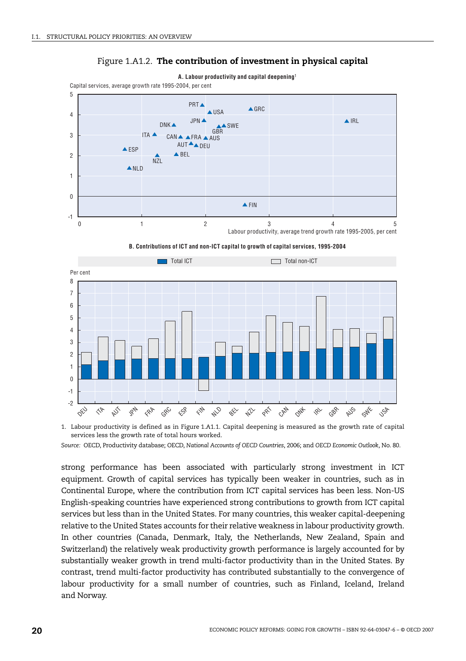



1. Labour productivity is defined as in Figure 1.A1.1. Capital deepening is measured as the growth rate of capital services less the growth rate of total hours worked.

*Source:* OECD, Productivity database; OECD, *National Accounts of OECD Countries*, 2006; and *OECD Economic Outlook*, No. 80.

strong performance has been associated with particularly strong investment in ICT equipment. Growth of capital services has typically been weaker in countries, such as in Continental Europe, where the contribution from ICT capital services has been less. Non-US English-speaking countries have experienced strong contributions to growth from ICT capital services but less than in the United States. For many countries, this weaker capital-deepening relative to the United States accounts for their relative weakness in labour productivity growth. In other countries (Canada, Denmark, Italy, the Netherlands, New Zealand, Spain and Switzerland) the relatively weak productivity growth performance is largely accounted for by substantially weaker growth in trend multi-factor productivity than in the United States. By contrast, trend multi-factor productivity has contributed substantially to the convergence of labour productivity for a small number of countries, such as Finland, Iceland, Ireland and Norway.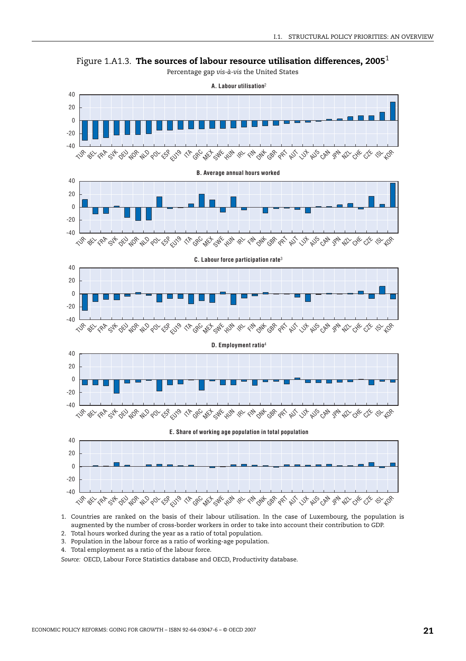

Figure 1.A1.3. **The sources of labour resource utilisation differences, 2005**<sup>1</sup> Percentage gap *vis-à-vis* the United States

- 1. Countries are ranked on the basis of their labour utilisation. In the case of Luxembourg, the population is augmented by the number of cross-border workers in order to take into account their contribution to GDP.
- 2. Total hours worked during the year as a ratio of total population.
- 3. Population in the labour force as a ratio of working-age population.
- 4. Total employment as a ratio of the labour force.

*Source:* OECD, Labour Force Statistics database and OECD, Productivity database.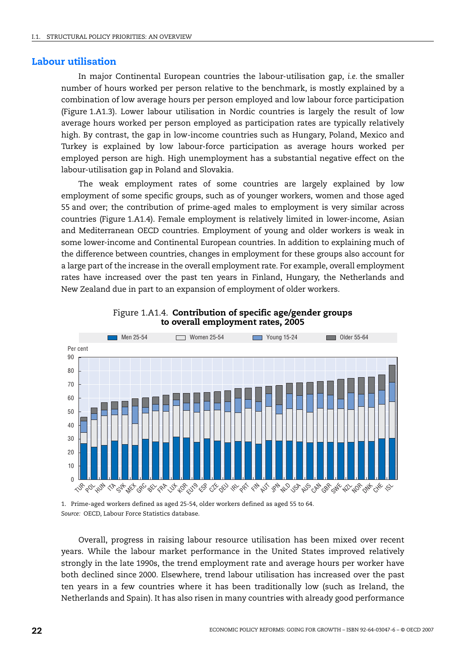#### **Labour utilisation**

In major Continental European countries the labour-utilisation gap, *i.e.* the smaller number of hours worked per person relative to the benchmark, is mostly explained by a combination of low average hours per person employed and low labour force participation (Figure 1.A1.3). Lower labour utilisation in Nordic countries is largely the result of low average hours worked per person employed as participation rates are typically relatively high. By contrast, the gap in low-income countries such as Hungary, Poland, Mexico and Turkey is explained by low labour-force participation as average hours worked per employed person are high. High unemployment has a substantial negative effect on the labour-utilisation gap in Poland and Slovakia.

The weak employment rates of some countries are largely explained by low employment of some specific groups, such as of younger workers, women and those aged 55 and over; the contribution of prime-aged males to employment is very similar across countries (Figure 1.A1.4). Female employment is relatively limited in lower-income, Asian and Mediterranean OECD countries. Employment of young and older workers is weak in some lower-income and Continental European countries. In addition to explaining much of the difference between countries, changes in employment for these groups also account for a large part of the increase in the overall employment rate. For example, overall employment rates have increased over the past ten years in Finland, Hungary, the Netherlands and New Zealand due in part to an expansion of employment of older workers.





1. Prime-aged workers defined as aged 25-54, older workers defined as aged 55 to 64. *Source:* OECD, Labour Force Statistics database.

Overall, progress in raising labour resource utilisation has been mixed over recent years. While the labour market performance in the United States improved relatively strongly in the late 1990s, the trend employment rate and average hours per worker have both declined since 2000. Elsewhere, trend labour utilisation has increased over the past ten years in a few countries where it has been traditionally low (such as Ireland, the Netherlands and Spain). It has also risen in many countries with already good performance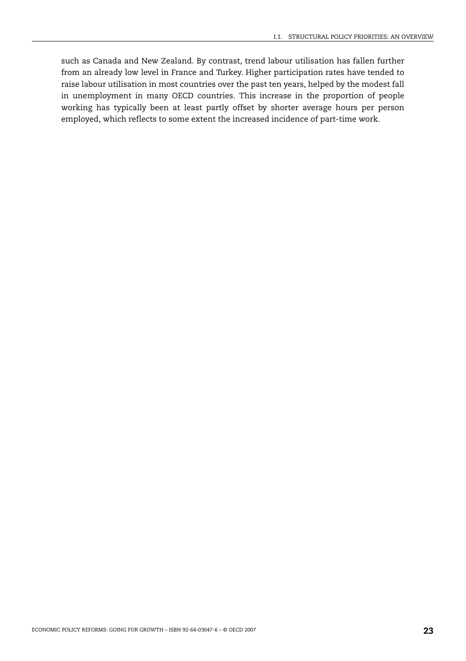such as Canada and New Zealand. By contrast, trend labour utilisation has fallen further from an already low level in France and Turkey. Higher participation rates have tended to raise labour utilisation in most countries over the past ten years, helped by the modest fall in unemployment in many OECD countries. This increase in the proportion of people working has typically been at least partly offset by shorter average hours per person employed, which reflects to some extent the increased incidence of part-time work.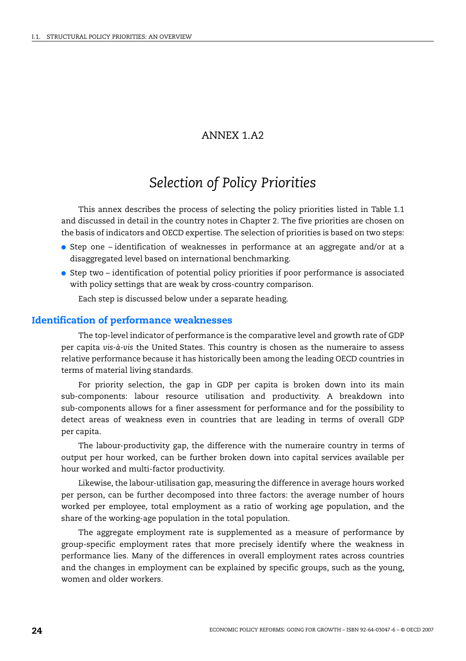#### ANNEX 1.A2

### *Selection of Policy Priorities*

This annex describes the process of selecting the policy priorities listed in Table 1.1 and discussed in detail in the country notes in Chapter 2. The five priorities are chosen on the basis of indicators and OECD expertise. The selection of priorities is based on two steps:

- Step one identification of weaknesses in performance at an aggregate and/or at a disaggregated level based on international benchmarking.
- Step two identification of potential policy priorities if poor performance is associated with policy settings that are weak by cross-country comparison.

Each step is discussed below under a separate heading.

#### **Identification of performance weaknesses**

The top-level indicator of performance is the comparative level and growth rate of GDP per capita *vis-à-vis* the United States. This country is chosen as the numeraire to assess relative performance because it has historically been among the leading OECD countries in terms of material living standards.

For priority selection, the gap in GDP per capita is broken down into its main sub-components: labour resource utilisation and productivity. A breakdown into sub-components allows for a finer assessment for performance and for the possibility to detect areas of weakness even in countries that are leading in terms of overall GDP per capita.

The labour-productivity gap, the difference with the numeraire country in terms of output per hour worked, can be further broken down into capital services available per hour worked and multi-factor productivity.

Likewise, the labour-utilisation gap, measuring the difference in average hours worked per person, can be further decomposed into three factors: the average number of hours worked per employee, total employment as a ratio of working age population, and the share of the working-age population in the total population.

The aggregate employment rate is supplemented as a measure of performance by group-specific employment rates that more precisely identify where the weakness in performance lies. Many of the differences in overall employment rates across countries and the changes in employment can be explained by specific groups, such as the young, women and older workers.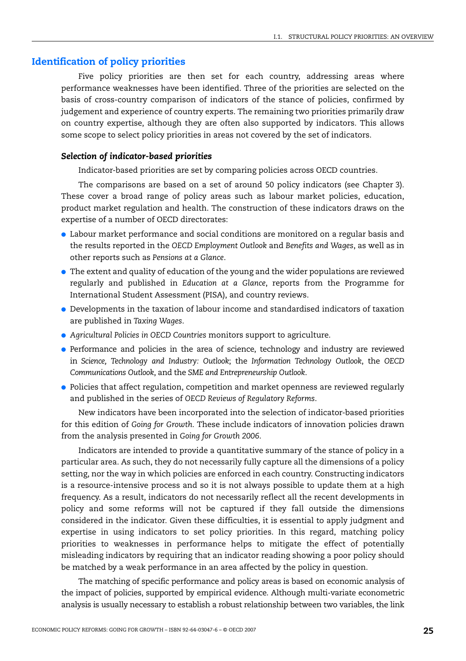#### **Identification of policy priorities**

Five policy priorities are then set for each country, addressing areas where performance weaknesses have been identified. Three of the priorities are selected on the basis of cross-country comparison of indicators of the stance of policies, confirmed by judgement and experience of country experts. The remaining two priorities primarily draw on country expertise, although they are often also supported by indicators. This allows some scope to select policy priorities in areas not covered by the set of indicators.

#### *Selection of indicator-based priorities*

Indicator-based priorities are set by comparing policies across OECD countries.

The comparisons are based on a set of around 50 policy indicators (see Chapter 3). These cover a broad range of policy areas such as labour market policies, education, product market regulation and health. The construction of these indicators draws on the expertise of a number of OECD directorates:

- Labour market performance and social conditions are monitored on a regular basis and the results reported in the *OECD Employment Outlook* and *Benefits and Wages*, as well as in other reports such as *Pensions at a Glance*.
- The extent and quality of education of the young and the wider populations are reviewed regularly and published in *Education at a Glance*, reports from the Programme for International Student Assessment (PISA), and country reviews.
- Developments in the taxation of labour income and standardised indicators of taxation are published in *Taxing Wages*.
- *Agricultural Policies in OECD Countries* monitors support to agriculture.
- Performance and policies in the area of science, technology and industry are reviewed in *Science, Technology and Industry: Outlook*; the *Information Technology Outlook*, the *OECD Communications Outlook*, and the *SME and Entrepreneurship Outlook*.
- Policies that affect regulation, competition and market openness are reviewed regularly and published in the series of *OECD Reviews of Regulatory Reforms*.

New indicators have been incorporated into the selection of indicator-based priorities for this edition of *Going for Growth*. These include indicators of innovation policies drawn from the analysis presented in *Going for Growth 2006*.

Indicators are intended to provide a quantitative summary of the stance of policy in a particular area. As such, they do not necessarily fully capture all the dimensions of a policy setting, nor the way in which policies are enforced in each country. Constructing indicators is a resource-intensive process and so it is not always possible to update them at a high frequency. As a result, indicators do not necessarily reflect all the recent developments in policy and some reforms will not be captured if they fall outside the dimensions considered in the indicator. Given these difficulties, it is essential to apply judgment and expertise in using indicators to set policy priorities. In this regard, matching policy priorities to weaknesses in performance helps to mitigate the effect of potentially misleading indicators by requiring that an indicator reading showing a poor policy should be matched by a weak performance in an area affected by the policy in question.

The matching of specific performance and policy areas is based on economic analysis of the impact of policies, supported by empirical evidence. Although multi-variate econometric analysis is usually necessary to establish a robust relationship between two variables, the link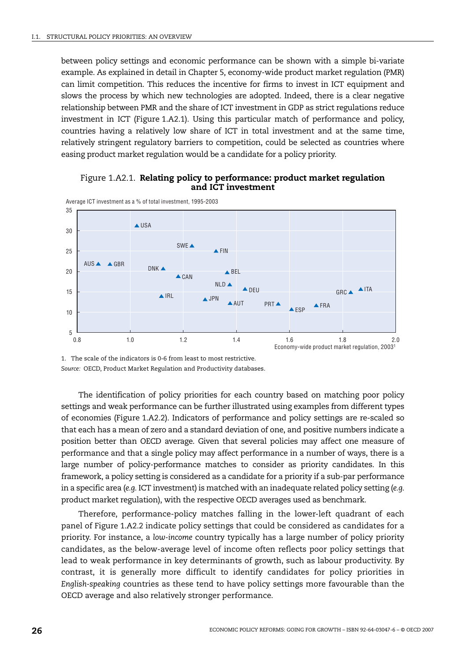between policy settings and economic performance can be shown with a simple bi-variate example. As explained in detail in Chapter 5, economy-wide product market regulation (PMR) can limit competition. This reduces the incentive for firms to invest in ICT equipment and slows the process by which new technologies are adopted. Indeed, there is a clear negative relationship between PMR and the share of ICT investment in GDP as strict regulations reduce investment in ICT (Figure 1.A2.1). Using this particular match of performance and policy, countries having a relatively low share of ICT in total investment and at the same time, relatively stringent regulatory barriers to competition, could be selected as countries where easing product market regulation would be a candidate for a policy priority.





1. The scale of the indicators is 0-6 from least to most restrictive. *Source:* OECD, Product Market Regulation and Productivity databases.

The identification of policy priorities for each country based on matching poor policy settings and weak performance can be further illustrated using examples from different types of economies (Figure 1.A2.2). Indicators of performance and policy settings are re-scaled so that each has a mean of zero and a standard deviation of one, and positive numbers indicate a position better than OECD average. Given that several policies may affect one measure of performance and that a single policy may affect performance in a number of ways, there is a large number of policy-performance matches to consider as priority candidates. In this framework, a policy setting is considered as a candidate for a priority if a sub-par performance in a specific area (*e.g.* ICT investment) is matched with an inadequate related policy setting (*e.g.* product market regulation), with the respective OECD averages used as benchmark.

Therefore, performance-policy matches falling in the lower-left quadrant of each panel of Figure 1.A2.2 indicate policy settings that could be considered as candidates for a priority. For instance, a *low-income* country typically has a large number of policy priority candidates, as the below-average level of income often reflects poor policy settings that lead to weak performance in key determinants of growth, such as labour productivity. By contrast, it is generally more difficult to identify candidates for policy priorities in *English-speaking* countries as these tend to have policy settings more favourable than the OECD average and also relatively stronger performance.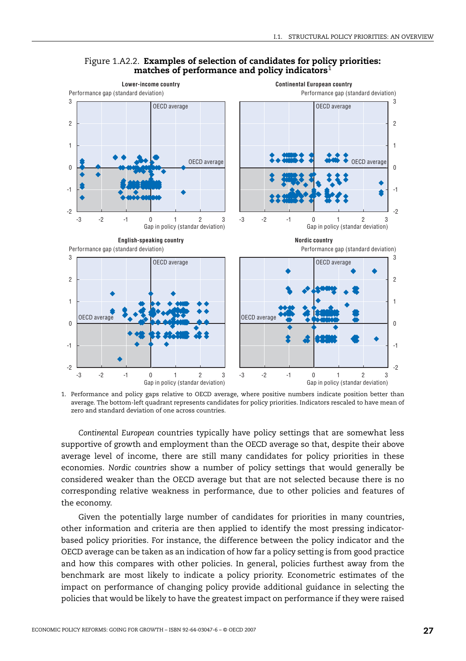

#### Figure 1.A2.2. **Examples of selection of candidates for policy priorities: matches of performance and policy indicators**<sup>1</sup>

1. Performance and policy gaps relative to OECD average, where positive numbers indicate position better than average. The bottom-left quadrant represents candidates for policy priorities. Indicators rescaled to have mean of zero and standard deviation of one across countries.

*Continental European* countries typically have policy settings that are somewhat less supportive of growth and employment than the OECD average so that, despite their above average level of income, there are still many candidates for policy priorities in these economies. *Nordic countries* show a number of policy settings that would generally be considered weaker than the OECD average but that are not selected because there is no corresponding relative weakness in performance, due to other policies and features of the economy.

Given the potentially large number of candidates for priorities in many countries, other information and criteria are then applied to identify the most pressing indicatorbased policy priorities. For instance, the difference between the policy indicator and the OECD average can be taken as an indication of how far a policy setting is from good practice and how this compares with other policies. In general, policies furthest away from the benchmark are most likely to indicate a policy priority. Econometric estimates of the impact on performance of changing policy provide additional guidance in selecting the policies that would be likely to have the greatest impact on performance if they were raised